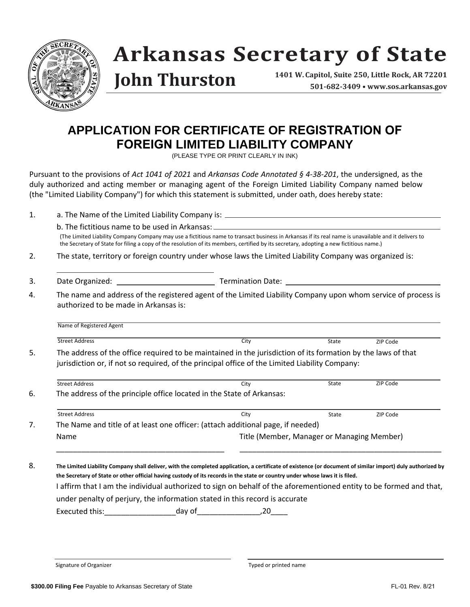

# **Arkansas Secretary of State**

### **John Thurston**

**1401 W. Capitol, Suite 250, Little Rock, AR 72201 501-682-3409 • www.sos.arkansas.gov**

#### **APPLICATION FOR CERTIFICATE OF REGISTRATION OF FOREIGN LIMITED LIABILITY COMPANY**

(PLEASE TYPE OR PRINT CLEARLY IN INK)

Pursuant to the provisions of *Act 1041 of 2021* and *Arkansas Code Annotated § 4-38-201*, the undersigned, as the duly authorized and acting member or managing agent of the Foreign Limited Liability Company named below (the "Limited Liability Company") for which this statement is submitted, under oath, does hereby state:

1. a. The Name of the Limited Liability Company is:  $\frac{1}{1}$ 

b. The fictitious name to be used in Arkansas:

(The Limited Liability Company Company may use a fictitious name to transact business in Arkansas if its real name is unavailable and it delivers to the Secretary of State for filing a copy of the resolution of its members, certified by its secretary, adopting a new fictitious name.)

- 2. The state, territory or foreign country under whose laws the Limited Liability Company was organized is:
- 3. Date Organized: Termination Date:
- 4. The name and address of the registered agent of the Limited Liability Company upon whom service of process is authorized to be made in Arkansas is:

Name of Registered Agent Street Address 2IP Code 21 Communication City City City State 21P Code 5. The address of the office required to be maintained in the jurisdiction of its formation by the laws of that jurisdiction or, if not so required, of the principal office of the Limited Liability Company: **State** 

| <b>Street Address</b> | Citv                                                                            | State | ZIP Code |
|-----------------------|---------------------------------------------------------------------------------|-------|----------|
|                       | The address of the principle office located in the State of Arkansas:           |       |          |
|                       |                                                                                 |       |          |
|                       |                                                                                 |       |          |
| <b>Street Address</b> | City                                                                            | State | ZIP Code |
|                       | The Name and title of at least one officer: (attach additional page, if needed) |       |          |

\_\_\_\_\_\_\_\_\_\_\_\_\_\_\_\_\_\_\_\_\_\_\_\_\_\_\_\_\_\_\_\_\_\_\_\_\_\_\_\_ \_\_\_\_\_\_\_\_\_\_\_\_\_\_\_\_\_\_\_\_\_\_\_\_\_\_\_\_\_\_\_\_\_\_\_\_\_\_\_\_\_\_\_\_\_\_\_\_

8. **The Limited Liability Company shall deliver, with the completed application, a certificate of existence (or document of similar import) duly authorized by the Secretary of State or other official having custody of its records in the state or country under whose laws it is filed.** I affirm that I am the individual authorized to sign on behalf of the aforementioned entity to be formed and that, under penalty of perjury, the information stated in this record is accurate Executed this:\_\_\_\_\_\_\_\_\_\_\_\_\_\_\_\_\_day of\_\_\_\_\_\_\_\_\_\_\_\_\_\_\_,20\_\_\_\_

Signature of Organizer Typed or printed name